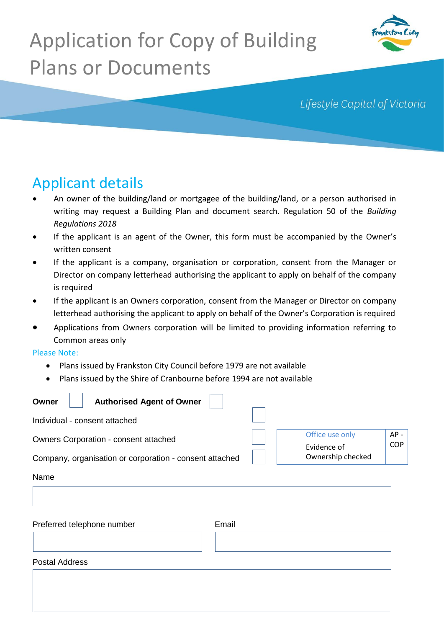# Application for Copy of Building Plans or Documents



Lifestyle Capital of Victoria

## Applicant details

- An owner of the building/land or mortgagee of the building/land, or a person authorised in writing may request a Building Plan and document search. Regulation 50 of the *Building Regulations 2018*
- If the applicant is an agent of the Owner, this form must be accompanied by the Owner's written consent
- If the applicant is a company, organisation or corporation, consent from the Manager or Director on company letterhead authorising the applicant to apply on behalf of the company is required
- If the applicant is an Owners corporation, consent from the Manager or Director on company letterhead authorising the applicant to apply on behalf of the Owner's Corporation is required
- Applications from Owners corporation will be limited to providing information referring to Common areas only

#### Please Note:

 $\overline{\phantom{a}}$ 

- Plans issued by Frankston City Council before 1979 are not available
- Plans issued by the Shire of Cranbourne before 1994 are not available

| <b>Authorised Agent of Owner</b><br>Owner               |                                                        |
|---------------------------------------------------------|--------------------------------------------------------|
| Individual - consent attached                           |                                                        |
| Owners Corporation - consent attached                   | $AP -$<br>Office use only<br><b>COP</b><br>Evidence of |
| Company, organisation or corporation - consent attached | Ownership checked                                      |
| Name                                                    |                                                        |
|                                                         |                                                        |
| Preferred telephone number                              | Email                                                  |
| <b>Postal Address</b>                                   |                                                        |
|                                                         |                                                        |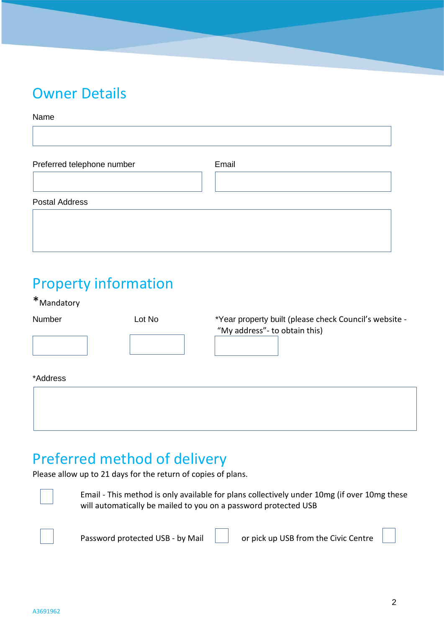### Owner Details

#### Name

| Preferred telephone number | Email |  |
|----------------------------|-------|--|
|                            |       |  |
|                            |       |  |
| <b>Postal Address</b>      |       |  |

### Property information

\*Mandatory

| Number   | Lot No | *Year property built (please check Council's website -<br>"My address" - to obtain this) |  |
|----------|--------|------------------------------------------------------------------------------------------|--|
|          |        |                                                                                          |  |
| *Address |        |                                                                                          |  |

### Preferred method of delivery

Please allow up to 21 days for the return of copies of plans.



Email - This method is only available for plans collectively under 10mg (if over 10mg these will automatically be mailed to you on a password protected USB



Password protected USB - by Mail | | | | | | | or pick up USB from the Civic Centre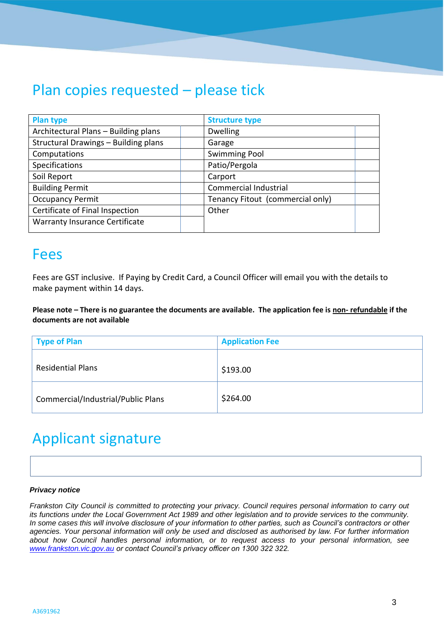### Plan copies requested – please tick

| <b>Plan type</b>                      | <b>Structure type</b>            |  |  |
|---------------------------------------|----------------------------------|--|--|
| Architectural Plans - Building plans  | <b>Dwelling</b>                  |  |  |
| Structural Drawings - Building plans  | Garage                           |  |  |
| Computations                          | <b>Swimming Pool</b>             |  |  |
| Specifications                        | Patio/Pergola                    |  |  |
| Soil Report                           | Carport                          |  |  |
| <b>Building Permit</b>                | Commercial Industrial            |  |  |
| <b>Occupancy Permit</b>               | Tenancy Fitout (commercial only) |  |  |
| Certificate of Final Inspection       | Other                            |  |  |
| <b>Warranty Insurance Certificate</b> |                                  |  |  |
|                                       |                                  |  |  |

#### Fees

Fees are GST inclusive. If Paying by Credit Card, a Council Officer will email you with the details to make payment within 14 days.

**Please note – There is no guarantee the documents are available. The application fee is non- refundable if the documents are not available**

| Type of Plan                       | <b>Application Fee</b> |
|------------------------------------|------------------------|
| <b>Residential Plans</b>           | \$193.00               |
| Commercial/Industrial/Public Plans | \$264.00               |

## Applicant signature

#### *Privacy notice*

[Office Use Only](http://www.frankston.vic.gov.au/) *www.frankston.vic.gov.au or contact Council's privacy officer on 1300 322 322.Frankston City Council is committed to protecting your privacy. Council requires personal information to carry out its functions under the Local Government Act 1989 and other legislation and to provide services to the community. In some cases this will involve disclosure of your information to other parties, such as Council's contractors or other agencies. Your personal information will only be used and disclosed as authorised by law. For further information about how Council handles personal information, or to request access to your personal information, see*